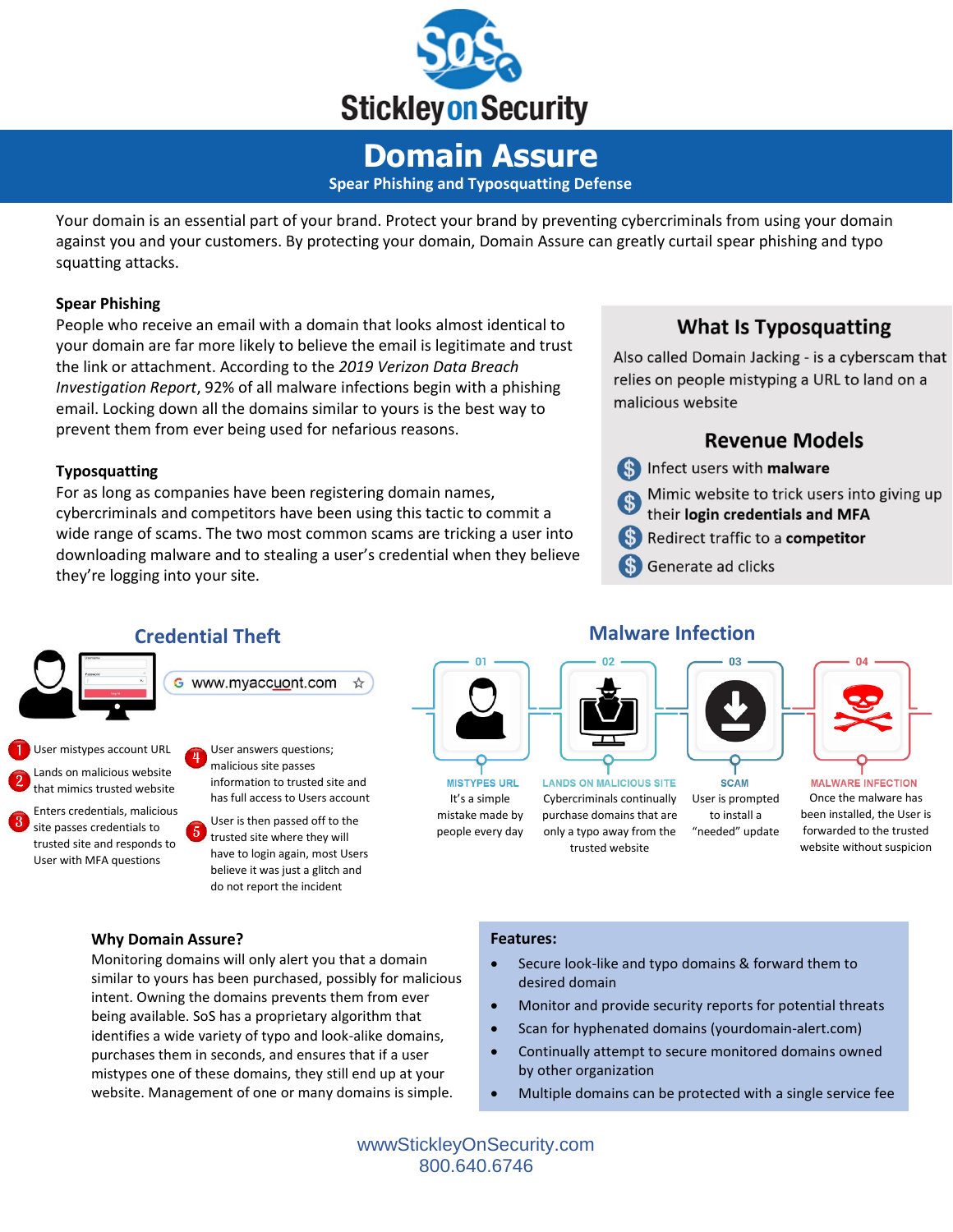

## **Domain Assure Spear Phishing and Typosquatting Defense**

Your domain is an essential part of your brand. Protect your brand by preventing cybercriminals from using your domain against you and your customers. By protecting your domain, Domain Assure can greatly curtail spear phishing and typo squatting attacks.

#### **Spear Phishing**

People who receive an email with a domain that looks almost identical to your domain are far more likely to believe the email is legitimate and trust the link or attachment. According to the *2019 Verizon Data Breach Investigation Report*, 92% of all malware infections begin with a phishing email. Locking down all the domains similar to yours is the best way to prevent them from ever being used for nefarious reasons.

#### **Typosquatting**

For as long as companies have been registering domain names, cybercriminals and competitors have been using this tactic to commit a wide range of scams. The two most common scams are tricking a user into downloading malware and to stealing a user's credential when they believe they're logging into your site.

## **What Is Typosquatting**

Also called Domain Jacking - is a cyberscam that relies on people mistyping a URL to land on a malicious website

### **Revenue Models**



Mimic website to trick users into giving up

- their login credentials and MFA
- **S)** Redirect traffic to a competitor
- Generate ad clicks



Lands on malicious website that mimics trusted website

Enters credentials, malicious site passes credentials to trusted site and responds to User with MFA questions

malicious site passes information to trusted site and has full access to Users account

User is then passed off to the trusted site where they will have to login again, most Users believe it was just a glitch and do not report the incident

**MISTYPES URL** It's a simple mistake made by people every day



**LANDS ON MALICIOUS SITE** Cybercriminals continually purchase domains that are only a typo away from the trusted website



User is prompted to install a "needed" update

**SCAM** 



**MALWARE INFECTION** Once the malware has been installed, the User is forwarded to the trusted website without suspicion

#### **Why Domain Assure?**

Monitoring domains will only alert you that a domain similar to yours has been purchased, possibly for malicious intent. Owning the domains prevents them from ever being available. SoS has a proprietary algorithm that identifies a wide variety of typo and look-alike domains, purchases them in seconds, and ensures that if a user mistypes one of these domains, they still end up at your website. Management of one or many domains is simple.

#### **Features:**

- Secure look-like and typo domains & forward them to desired domain
- Monitor and provide security reports for potential threats
- Scan for hyphenated domains (yourdomain-alert.com)
- Continually attempt to secure monitored domains owned by other organization
- Multiple domains can be protected with a single service fee

wwwStickleyOnSecurity.com 800.640.6746

## **Malware Infection**